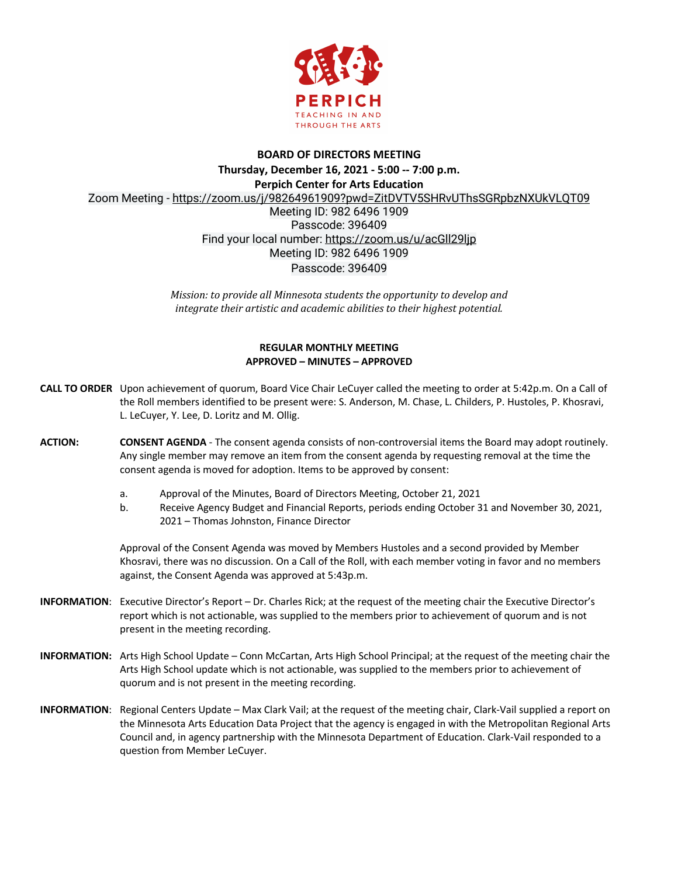

## **BOARD OF DIRECTORS MEETING Thursday, December 16, 2021 - 5:00 -- 7:00 p.m. Perpich Center for Arts Education** Zoom Meeting - https://zoom.us/j/98264961909?pwd=ZitDVTV5SHRvUThsSGRpbzNXUkVLQT09 Meeting ID: 982 6496 1909 Passcode: 396409 Find your local number: https://zoom.us/u/acGll29ljp Meeting ID: 982 6496 1909 Passcode: 396409

*Mission: to provide all Minnesota students the opportunity to develop and integrate their artistic and academic abilities to their highest potential.* 

## **REGULAR MONTHLY MEETING APPROVED – MINUTES – APPROVED**

- **CALL TO ORDER** Upon achievement of quorum, Board Vice Chair LeCuyer called the meeting to order at 5:42p.m. On a Call of the Roll members identified to be present were: S. Anderson, M. Chase, L. Childers, P. Hustoles, P. Khosravi, L. LeCuyer, Y. Lee, D. Loritz and M. Ollig.
- **ACTION: CONSENT AGENDA**  The consent agenda consists of non-controversial items the Board may adopt routinely. Any single member may remove an item from the consent agenda by requesting removal at the time the consent agenda is moved for adoption. Items to be approved by consent:
	- a. Approval of the Minutes, Board of Directors Meeting, October 21, 2021
	- b. Receive Agency Budget and Financial Reports, periods ending October 31 and November 30, 2021, 2021 – Thomas Johnston, Finance Director

Approval of the Consent Agenda was moved by Members Hustoles and a second provided by Member Khosravi, there was no discussion. On a Call of the Roll, with each member voting in favor and no members against, the Consent Agenda was approved at 5:43p.m.

- **INFORMATION**: Executive Director's Report Dr. Charles Rick; at the request of the meeting chair the Executive Director's report which is not actionable, was supplied to the members prior to achievement of quorum and is not present in the meeting recording.
- **INFORMATION:** Arts High School Update Conn McCartan, Arts High School Principal; at the request of the meeting chair the Arts High School update which is not actionable, was supplied to the members prior to achievement of quorum and is not present in the meeting recording.
- **INFORMATION**: Regional Centers Update Max Clark Vail; at the request of the meeting chair, Clark-Vail supplied a report on the Minnesota Arts Education Data Project that the agency is engaged in with the Metropolitan Regional Arts Council and, in agency partnership with the Minnesota Department of Education. Clark-Vail responded to a question from Member LeCuyer.